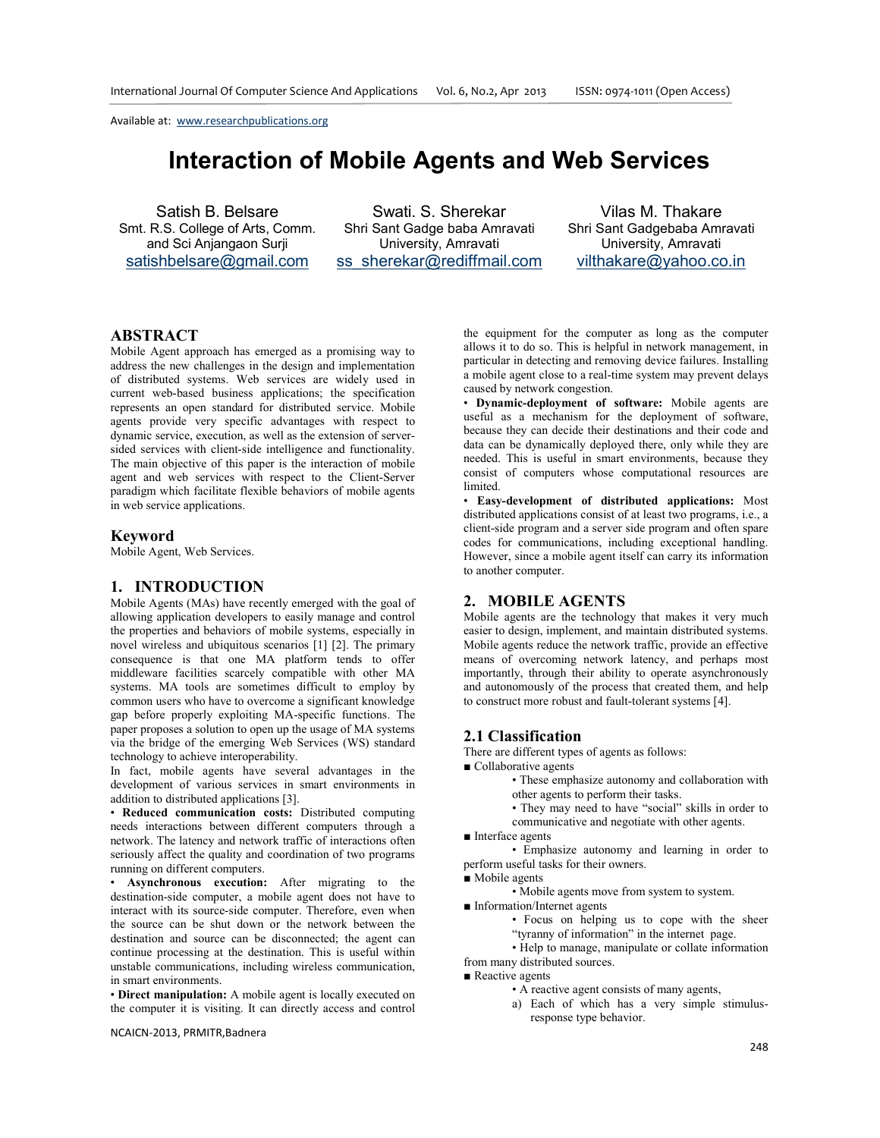# **Interaction of Mobile Agents and Web Services**

Satish B. Belsare Smt. R.S. College of Arts, Comm. and Sci Anjangaon Surji satishbelsare@gmail.com

Swati. S. Sherekar Shri Sant Gadge baba Amravati University, Amravati ss\_sherekar@rediffmail.com

Vilas M. Thakare Shri Sant Gadgebaba Amravati University, Amravati vilthakare@yahoo.co.in

## **ABSTRACT**

Mobile Agent approach has emerged as a promising way to address the new challenges in the design and implementation of distributed systems. Web services are widely used in current web-based business applications; the specification represents an open standard for distributed service. Mobile agents provide very specific advantages with respect to dynamic service, execution, as well as the extension of serversided services with client-side intelligence and functionality. The main objective of this paper is the interaction of mobile agent and web services with respect to the Client-Server paradigm which facilitate flexible behaviors of mobile agents in web service applications.

## **Keyword**

Mobile Agent, Web Services.

#### **1. INTRODUCTION**

Mobile Agents (MAs) have recently emerged with the goal of allowing application developers to easily manage and control the properties and behaviors of mobile systems, especially in novel wireless and ubiquitous scenarios [1] [2]. The primary consequence is that one MA platform tends to offer middleware facilities scarcely compatible with other MA systems. MA tools are sometimes difficult to employ by common users who have to overcome a significant knowledge gap before properly exploiting MA-specific functions. The paper proposes a solution to open up the usage of MA systems via the bridge of the emerging Web Services (WS) standard technology to achieve interoperability.

In fact, mobile agents have several advantages in the development of various services in smart environments in addition to distributed applications [3].

• **Reduced communication costs:** Distributed computing needs interactions between different computers through a network. The latency and network traffic of interactions often seriously affect the quality and coordination of two programs running on different computers.

• **Asynchronous execution:** After migrating to the destination-side computer, a mobile agent does not have to interact with its source-side computer. Therefore, even when the source can be shut down or the network between the destination and source can be disconnected; the agent can continue processing at the destination. This is useful within unstable communications, including wireless communication, in smart environments.

• **Direct manipulation:** A mobile agent is locally executed on the computer it is visiting. It can directly access and control

NCAICN-2013, PRMITR,Badnera

the equipment for the computer as long as the computer allows it to do so. This is helpful in network management, in particular in detecting and removing device failures. Installing a mobile agent close to a real-time system may prevent delays caused by network congestion.

• **Dynamic-deployment of software:** Mobile agents are useful as a mechanism for the deployment of software, because they can decide their destinations and their code and data can be dynamically deployed there, only while they are needed. This is useful in smart environments, because they consist of computers whose computational resources are limited.

• **Easy-development of distributed applications:** Most distributed applications consist of at least two programs, i.e., a client-side program and a server side program and often spare codes for communications, including exceptional handling. However, since a mobile agent itself can carry its information to another computer.

#### **2. MOBILE AGENTS**

Mobile agents are the technology that makes it very much easier to design, implement, and maintain distributed systems. Mobile agents reduce the network traffic, provide an effective means of overcoming network latency, and perhaps most importantly, through their ability to operate asynchronously and autonomously of the process that created them, and help to construct more robust and fault-tolerant systems [4].

#### **2.1 Classification**

There are different types of agents as follows:

■ Collaborative agents

• These emphasize autonomy and collaboration with other agents to perform their tasks.

- They may need to have "social" skills in order to
- communicative and negotiate with other agents.

■ Interface agents

 • Emphasize autonomy and learning in order to perform useful tasks for their owners.

■ Mobile agents

• Mobile agents move from system to system.

■ Information/Internet agents

• Focus on helping us to cope with the sheer "tyranny of information" in the internet page.

• Help to manage, manipulate or collate information

from many distributed sources.

■ Reactive agents

• A reactive agent consists of many agents,

a) Each of which has a very simple stimulusresponse type behavior.

248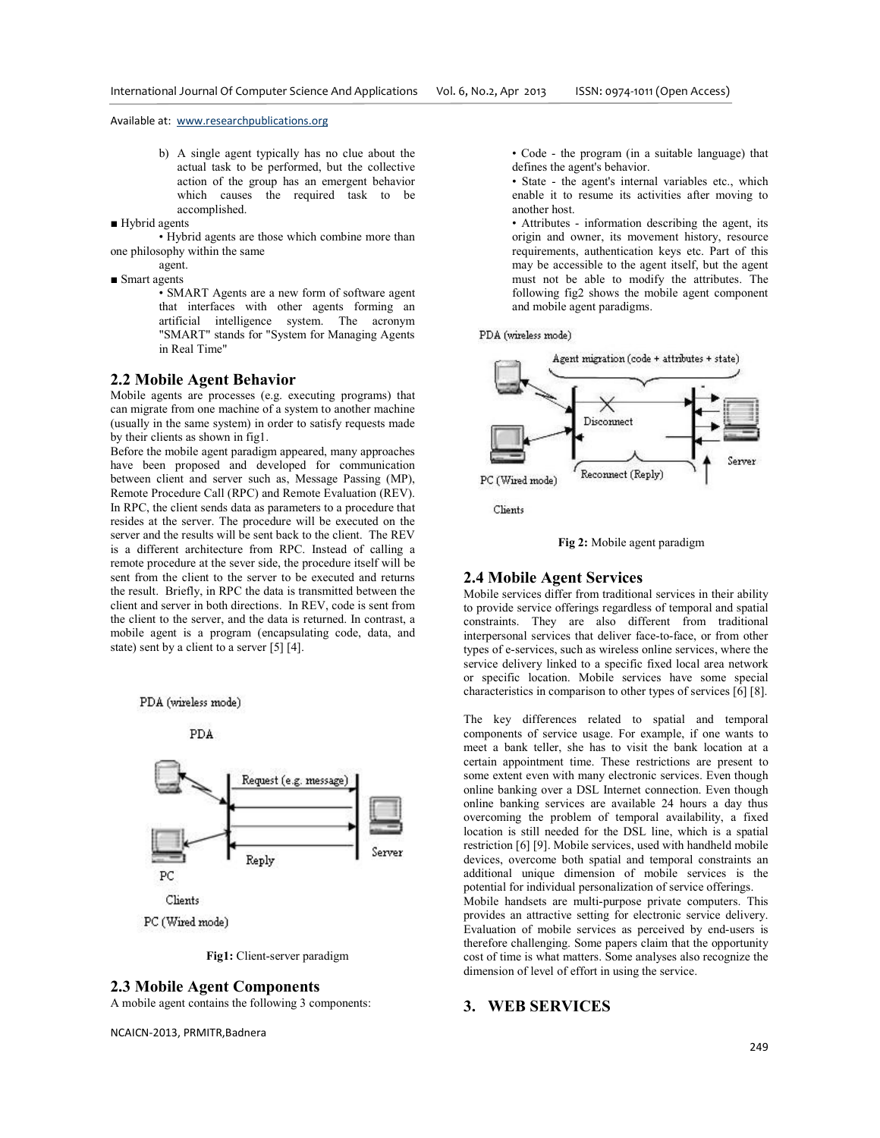- b) A single agent typically has no clue about the actual task to be performed, but the collective action of the group has an emergent behavior which causes the required task to be accomplished.
- Hybrid agents

• Hybrid agents are those which combine more than one philosophy within the same

- agent. ■ Smart agents
	- SMART Agents are a new form of software agent that interfaces with other agents forming an artificial intelligence system. The acronym "SMART" stands for "System for Managing Agents in Real Time"

#### **2.2 Mobile Agent Behavior**

Mobile agents are processes (e.g. executing programs) that can migrate from one machine of a system to another machine (usually in the same system) in order to satisfy requests made by their clients as shown in fig1.

Before the mobile agent paradigm appeared, many approaches have been proposed and developed for communication between client and server such as, Message Passing (MP), Remote Procedure Call (RPC) and Remote Evaluation (REV). In RPC, the client sends data as parameters to a procedure that resides at the server. The procedure will be executed on the server and the results will be sent back to the client. The REV is a different architecture from RPC. Instead of calling a remote procedure at the sever side, the procedure itself will be sent from the client to the server to be executed and returns the result. Briefly, in RPC the data is transmitted between the client and server in both directions. In REV, code is sent from the client to the server, and the data is returned. In contrast, a mobile agent is a program (encapsulating code, data, and state) sent by a client to a server [5] [4].





**Fig1:** Client-server paradigm

## **2.3 Mobile Agent Components**

A mobile agent contains the following 3 components:

NCAICN-2013, PRMITR,Badnera

• Code - the program (in a suitable language) that defines the agent's behavior.

• State - the agent's internal variables etc., which enable it to resume its activities after moving to another host.

• Attributes - information describing the agent, its origin and owner, its movement history, resource requirements, authentication keys etc. Part of this may be accessible to the agent itself, but the agent must not be able to modify the attributes. The following fig2 shows the mobile agent component and mobile agent paradigms.

PDA (wireless mode)



**Fig 2:** Mobile agent paradigm

#### **2.4 Mobile Agent Services**

Mobile services differ from traditional services in their ability to provide service offerings regardless of temporal and spatial constraints. They are also different from traditional interpersonal services that deliver face-to-face, or from other types of e-services, such as wireless online services, where the service delivery linked to a specific fixed local area network or specific location. Mobile services have some special characteristics in comparison to other types of services [6] [8].

The key differences related to spatial and temporal components of service usage. For example, if one wants to meet a bank teller, she has to visit the bank location at a certain appointment time. These restrictions are present to some extent even with many electronic services. Even though online banking over a DSL Internet connection. Even though online banking services are available 24 hours a day thus overcoming the problem of temporal availability, a fixed location is still needed for the DSL line, which is a spatial restriction [6] [9]. Mobile services, used with handheld mobile devices, overcome both spatial and temporal constraints an additional unique dimension of mobile services is the potential for individual personalization of service offerings. Mobile handsets are multi-purpose private computers. This provides an attractive setting for electronic service delivery. Evaluation of mobile services as perceived by end-users is therefore challenging. Some papers claim that the opportunity cost of time is what matters. Some analyses also recognize the dimension of level of effort in using the service.

## **3. WEB SERVICES**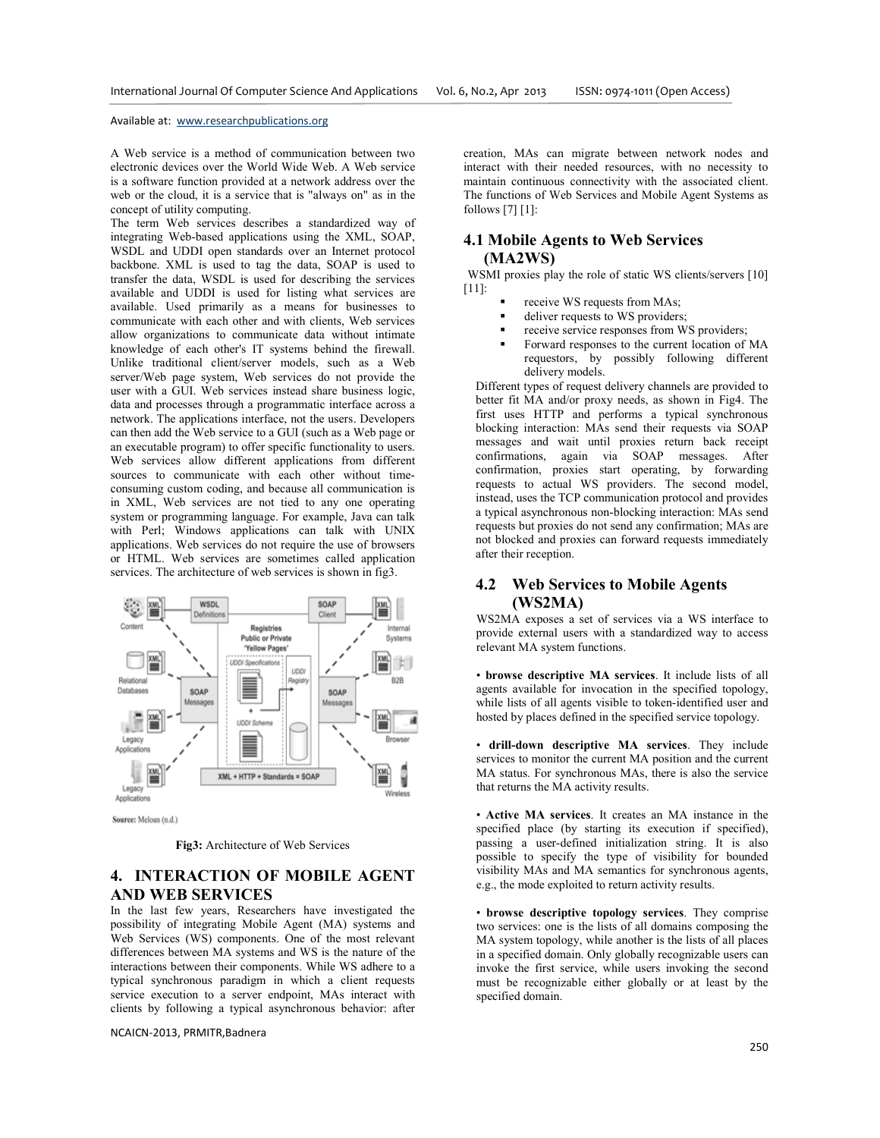A Web service is a method of communication between two electronic devices over the World Wide Web. A Web service is a software function provided at a network address over the web or the cloud, it is a service that is "always on" as in the concept of utility computing.

The term Web services describes a standardized way of integrating Web-based applications using the XML, SOAP, WSDL and UDDI open standards over an Internet protocol backbone. XML is used to tag the data, SOAP is used to transfer the data, WSDL is used for describing the services available and UDDI is used for listing what services are available. Used primarily as a means for businesses to communicate with each other and with clients, Web services allow organizations to communicate data without intimate knowledge of each other's IT systems behind the firewall. Unlike traditional client/server models, such as a Web server/Web page system, Web services do not provide the user with a GUI. Web services instead share business logic, data and processes through a programmatic interface across a network. The applications interface, not the users. Developers can then add the Web service to a GUI (such as a Web page or an executable program) to offer specific functionality to users. Web services allow different applications from different sources to communicate with each other without timeconsuming custom coding, and because all communication is in XML, Web services are not tied to any one operating system or programming language. For example, Java can talk with Perl; Windows applications can talk with UNIX applications. Web services do not require the use of browsers or HTML. Web services are sometimes called application services. The architecture of web services is shown in fig3.



Source: Meloan (n.d.)

**Fig3:** Architecture of Web Services

## **4. INTERACTION OF MOBILE AGENT AND WEB SERVICES**

In the last few years, Researchers have investigated the possibility of integrating Mobile Agent (MA) systems and Web Services (WS) components. One of the most relevant differences between MA systems and WS is the nature of the interactions between their components. While WS adhere to a typical synchronous paradigm in which a client requests service execution to a server endpoint, MAs interact with clients by following a typical asynchronous behavior: after

NCAICN-2013, PRMITR,Badnera

creation, MAs can migrate between network nodes and interact with their needed resources, with no necessity to maintain continuous connectivity with the associated client. The functions of Web Services and Mobile Agent Systems as follows [7] [1]:

## **4.1 Mobile Agents to Web Services**

#### **(MA2WS)**

WSMI proxies play the role of static WS clients/servers [10] [11]:

- receive WS requests from MAs;
- deliver requests to WS providers;
- receive service responses from WS providers;
- Forward responses to the current location of MA requestors, by possibly following different delivery models.

Different types of request delivery channels are provided to better fit MA and/or proxy needs, as shown in Fig4. The first uses HTTP and performs a typical synchronous blocking interaction: MAs send their requests via SOAP messages and wait until proxies return back receipt confirmations, again via SOAP messages. After confirmation, proxies start operating, by forwarding requests to actual WS providers. The second model, instead, uses the TCP communication protocol and provides a typical asynchronous non-blocking interaction: MAs send requests but proxies do not send any confirmation; MAs are not blocked and proxies can forward requests immediately after their reception.

## **4.2 Web Services to Mobile Agents (WS2MA)**

WS2MA exposes a set of services via a WS interface to provide external users with a standardized way to access relevant MA system functions.

• **browse descriptive MA services**. It include lists of all agents available for invocation in the specified topology, while lists of all agents visible to token-identified user and hosted by places defined in the specified service topology.

• **drill-down descriptive MA services**. They include services to monitor the current MA position and the current MA status. For synchronous MAs, there is also the service that returns the MA activity results.

• **Active MA services**. It creates an MA instance in the specified place (by starting its execution if specified), passing a user-defined initialization string. It is also possible to specify the type of visibility for bounded visibility MAs and MA semantics for synchronous agents, e.g., the mode exploited to return activity results.

• **browse descriptive topology services**. They comprise two services: one is the lists of all domains composing the MA system topology, while another is the lists of all places in a specified domain. Only globally recognizable users can invoke the first service, while users invoking the second must be recognizable either globally or at least by the specified domain.